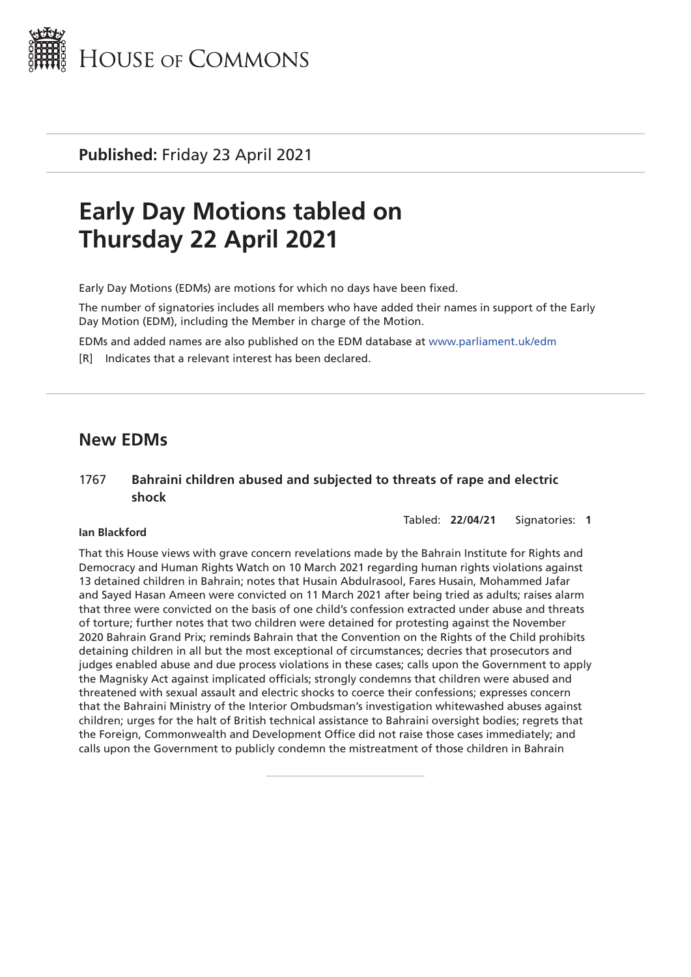

**Published:** Friday 23 April 2021

# **Early Day Motions tabled on Thursday 22 April 2021**

Early Day Motions (EDMs) are motions for which no days have been fixed.

The number of signatories includes all members who have added their names in support of the Early Day Motion (EDM), including the Member in charge of the Motion.

EDMs and added names are also published on the EDM database at [www.parliament.uk/edm](http://www.parliament.uk/edm)

[R] Indicates that a relevant interest has been declared.

# **New EDMs**

# 1767 **Bahraini children abused and subjected to threats of rape and electric shock**

Tabled: **22/04/21** Signatories: **1**

#### **Ian Blackford**

That this House views with grave concern revelations made by the Bahrain Institute for Rights and Democracy and Human Rights Watch on 10 March 2021 regarding human rights violations against 13 detained children in Bahrain; notes that Husain Abdulrasool, Fares Husain, Mohammed Jafar and Sayed Hasan Ameen were convicted on 11 March 2021 after being tried as adults; raises alarm that three were convicted on the basis of one child's confession extracted under abuse and threats of torture; further notes that two children were detained for protesting against the November 2020 Bahrain Grand Prix; reminds Bahrain that the Convention on the Rights of the Child prohibits detaining children in all but the most exceptional of circumstances; decries that prosecutors and judges enabled abuse and due process violations in these cases; calls upon the Government to apply the Magnisky Act against implicated officials; strongly condemns that children were abused and threatened with sexual assault and electric shocks to coerce their confessions; expresses concern that the Bahraini Ministry of the Interior Ombudsman's investigation whitewashed abuses against children; urges for the halt of British technical assistance to Bahraini oversight bodies; regrets that the Foreign, Commonwealth and Development Office did not raise those cases immediately; and calls upon the Government to publicly condemn the mistreatment of those children in Bahrain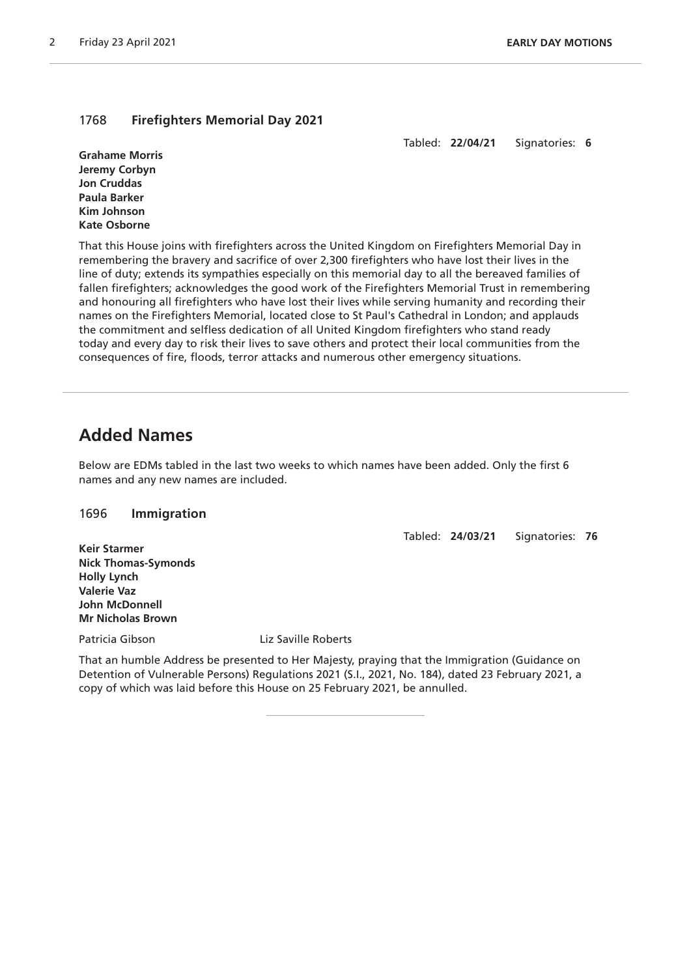# 1768 **Firefighters Memorial Day 2021**

Tabled: **22/04/21** Signatories: **6**

**Grahame Morris Jeremy Corbyn Jon Cruddas Paula Barker Kim Johnson Kate Osborne**

That this House joins with firefighters across the United Kingdom on Firefighters Memorial Day in remembering the bravery and sacrifice of over 2,300 firefighters who have lost their lives in the line of duty; extends its sympathies especially on this memorial day to all the bereaved families of fallen firefighters; acknowledges the good work of the Firefighters Memorial Trust in remembering and honouring all firefighters who have lost their lives while serving humanity and recording their names on the Firefighters Memorial, located close to St Paul's Cathedral in London; and applauds the commitment and selfless dedication of all United Kingdom firefighters who stand ready today and every day to risk their lives to save others and protect their local communities from the consequences of fire, floods, terror attacks and numerous other emergency situations.

# **Added Names**

Below are EDMs tabled in the last two weeks to which names have been added. Only the first 6 names and any new names are included.

# 1696 **Immigration**

Tabled: **24/03/21** Signatories: **76**

**Keir Starmer Nick Thomas-Symonds Holly Lynch Valerie Vaz John McDonnell Mr Nicholas Brown**

Patricia Gibson Liz Saville Roberts

That an humble Address be presented to Her Majesty, praying that the Immigration (Guidance on Detention of Vulnerable Persons) Regulations 2021 (S.I., 2021, No. 184), dated 23 February 2021, a copy of which was laid before this House on 25 February 2021, be annulled.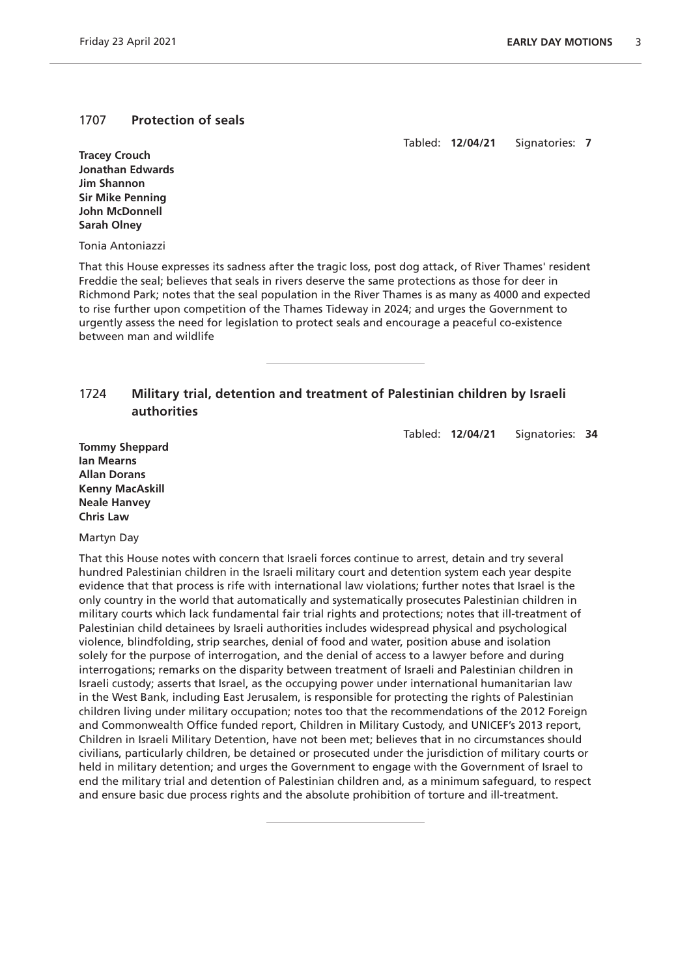#### 1707 **Protection of seals**

Tabled: **12/04/21** Signatories: **7**

**Tracey Crouch Jonathan Edwards Jim Shannon Sir Mike Penning John McDonnell Sarah Olney**

Tonia Antoniazzi

That this House expresses its sadness after the tragic loss, post dog attack, of River Thames' resident Freddie the seal; believes that seals in rivers deserve the same protections as those for deer in Richmond Park; notes that the seal population in the River Thames is as many as 4000 and expected to rise further upon competition of the Thames Tideway in 2024; and urges the Government to urgently assess the need for legislation to protect seals and encourage a peaceful co-existence between man and wildlife

# 1724 **Military trial, detention and treatment of Palestinian children by Israeli authorities**

Tabled: **12/04/21** Signatories: **34**

**Tommy Sheppard Ian Mearns Allan Dorans Kenny MacAskill Neale Hanvey Chris Law**

Martyn Day

That this House notes with concern that Israeli forces continue to arrest, detain and try several hundred Palestinian children in the Israeli military court and detention system each year despite evidence that that process is rife with international law violations; further notes that Israel is the only country in the world that automatically and systematically prosecutes Palestinian children in military courts which lack fundamental fair trial rights and protections; notes that ill-treatment of Palestinian child detainees by Israeli authorities includes widespread physical and psychological violence, blindfolding, strip searches, denial of food and water, position abuse and isolation solely for the purpose of interrogation, and the denial of access to a lawyer before and during interrogations; remarks on the disparity between treatment of Israeli and Palestinian children in Israeli custody; asserts that Israel, as the occupying power under international humanitarian law in the West Bank, including East Jerusalem, is responsible for protecting the rights of Palestinian children living under military occupation; notes too that the recommendations of the 2012 Foreign and Commonwealth Office funded report, Children in Military Custody, and UNICEF's 2013 report, Children in Israeli Military Detention, have not been met; believes that in no circumstances should civilians, particularly children, be detained or prosecuted under the jurisdiction of military courts or held in military detention; and urges the Government to engage with the Government of Israel to end the military trial and detention of Palestinian children and, as a minimum safeguard, to respect and ensure basic due process rights and the absolute prohibition of torture and ill-treatment.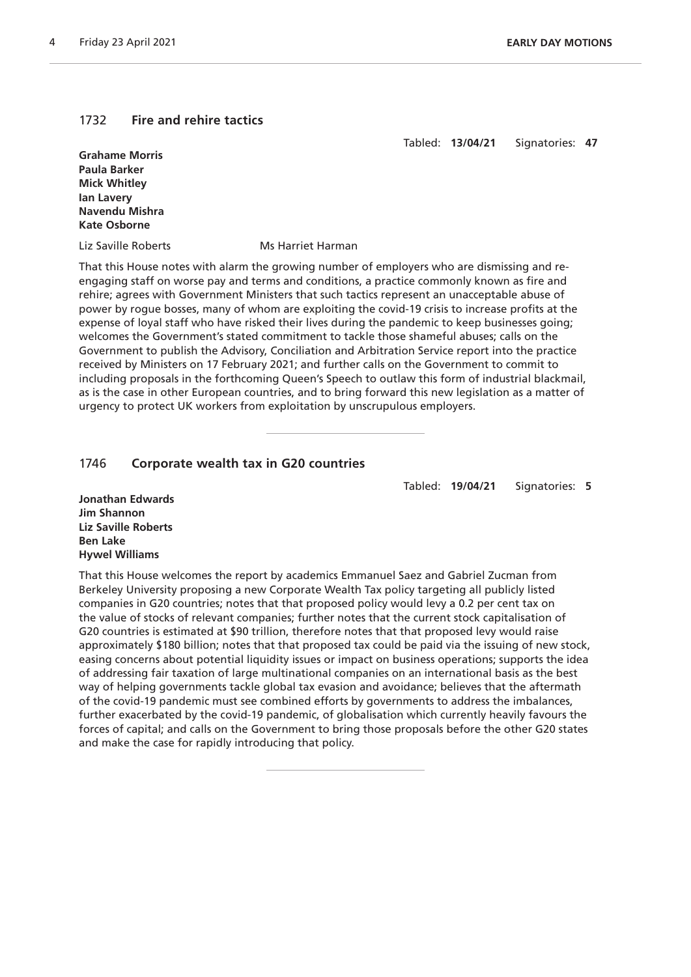#### 1732 **Fire and rehire tactics**

Tabled: **13/04/21** Signatories: **47**

**Grahame Morris Paula Barker Mick Whitley Ian Lavery Navendu Mishra Kate Osborne**

Liz Saville Roberts Ms Harriet Harman

That this House notes with alarm the growing number of employers who are dismissing and reengaging staff on worse pay and terms and conditions, a practice commonly known as fire and rehire; agrees with Government Ministers that such tactics represent an unacceptable abuse of power by rogue bosses, many of whom are exploiting the covid-19 crisis to increase profits at the expense of loyal staff who have risked their lives during the pandemic to keep businesses going; welcomes the Government's stated commitment to tackle those shameful abuses; calls on the Government to publish the Advisory, Conciliation and Arbitration Service report into the practice received by Ministers on 17 February 2021; and further calls on the Government to commit to including proposals in the forthcoming Queen's Speech to outlaw this form of industrial blackmail, as is the case in other European countries, and to bring forward this new legislation as a matter of urgency to protect UK workers from exploitation by unscrupulous employers.

#### 1746 **Corporate wealth tax in G20 countries**

Tabled: **19/04/21** Signatories: **5**

**Jonathan Edwards Jim Shannon Liz Saville Roberts Ben Lake Hywel Williams**

That this House welcomes the report by academics Emmanuel Saez and Gabriel Zucman from Berkeley University proposing a new Corporate Wealth Tax policy targeting all publicly listed companies in G20 countries; notes that that proposed policy would levy a 0.2 per cent tax on the value of stocks of relevant companies; further notes that the current stock capitalisation of G20 countries is estimated at \$90 trillion, therefore notes that that proposed levy would raise approximately \$180 billion; notes that that proposed tax could be paid via the issuing of new stock, easing concerns about potential liquidity issues or impact on business operations; supports the idea of addressing fair taxation of large multinational companies on an international basis as the best way of helping governments tackle global tax evasion and avoidance; believes that the aftermath of the covid-19 pandemic must see combined efforts by governments to address the imbalances, further exacerbated by the covid-19 pandemic, of globalisation which currently heavily favours the forces of capital; and calls on the Government to bring those proposals before the other G20 states and make the case for rapidly introducing that policy.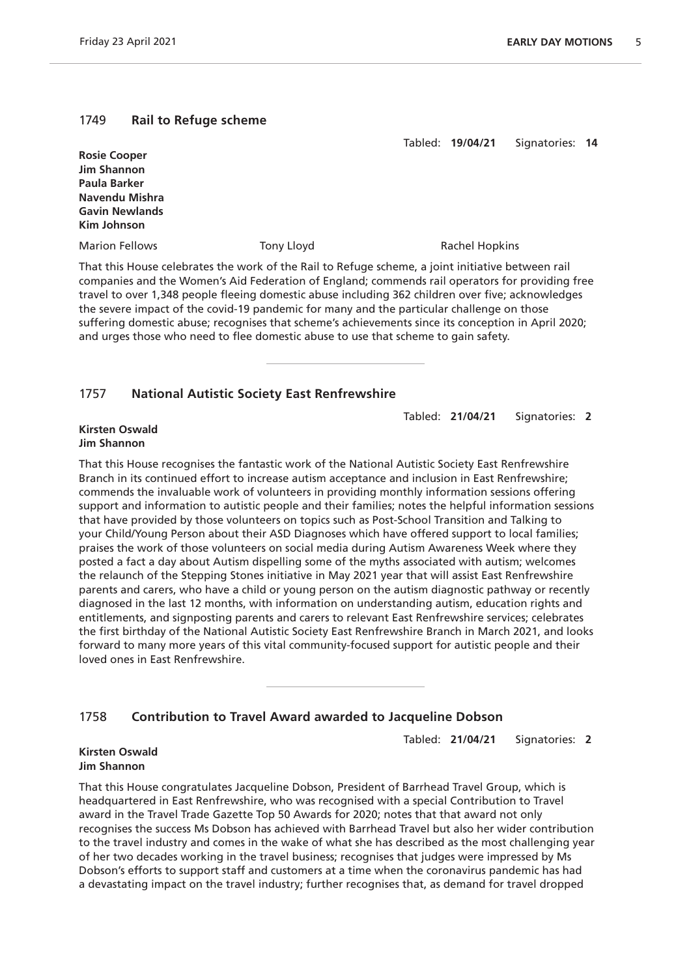# 1749 **Rail to Refuge scheme**

Tabled: **19/04/21** Signatories: **14**

| <b>Rosie Cooper</b>   |            |                                                                                                   |
|-----------------------|------------|---------------------------------------------------------------------------------------------------|
| <b>Jim Shannon</b>    |            |                                                                                                   |
| Paula Barker          |            |                                                                                                   |
| Navendu Mishra        |            |                                                                                                   |
| <b>Gavin Newlands</b> |            |                                                                                                   |
| Kim Johnson           |            |                                                                                                   |
| <b>Marion Fellows</b> | Tony Lloyd | Rachel Hopkins                                                                                    |
|                       |            | That this House celebrates the work of the Rail to Refuge scheme, a joint initiative between rail |

companies and the Women's Aid Federation of England; commends rail operators for providing free travel to over 1,348 people fleeing domestic abuse including 362 children over five; acknowledges the severe impact of the covid-19 pandemic for many and the particular challenge on those suffering domestic abuse; recognises that scheme's achievements since its conception in April 2020; and urges those who need to flee domestic abuse to use that scheme to gain safety.

# 1757 **National Autistic Society East Renfrewshire**

Tabled: **21/04/21** Signatories: **2**

#### **Kirsten Oswald Jim Shannon**

That this House recognises the fantastic work of the National Autistic Society East Renfrewshire Branch in its continued effort to increase autism acceptance and inclusion in East Renfrewshire; commends the invaluable work of volunteers in providing monthly information sessions offering support and information to autistic people and their families; notes the helpful information sessions that have provided by those volunteers on topics such as Post-School Transition and Talking to your Child/Young Person about their ASD Diagnoses which have offered support to local families; praises the work of those volunteers on social media during Autism Awareness Week where they posted a fact a day about Autism dispelling some of the myths associated with autism; welcomes the relaunch of the Stepping Stones initiative in May 2021 year that will assist East Renfrewshire parents and carers, who have a child or young person on the autism diagnostic pathway or recently diagnosed in the last 12 months, with information on understanding autism, education rights and entitlements, and signposting parents and carers to relevant East Renfrewshire services; celebrates the first birthday of the National Autistic Society East Renfrewshire Branch in March 2021, and looks forward to many more years of this vital community-focused support for autistic people and their loved ones in East Renfrewshire.

# 1758 **Contribution to Travel Award awarded to Jacqueline Dobson**

Tabled: **21/04/21** Signatories: **2**

#### **Kirsten Oswald Jim Shannon**

That this House congratulates Jacqueline Dobson, President of Barrhead Travel Group, which is headquartered in East Renfrewshire, who was recognised with a special Contribution to Travel award in the Travel Trade Gazette Top 50 Awards for 2020; notes that that award not only recognises the success Ms Dobson has achieved with Barrhead Travel but also her wider contribution to the travel industry and comes in the wake of what she has described as the most challenging year of her two decades working in the travel business; recognises that judges were impressed by Ms Dobson's efforts to support staff and customers at a time when the coronavirus pandemic has had a devastating impact on the travel industry; further recognises that, as demand for travel dropped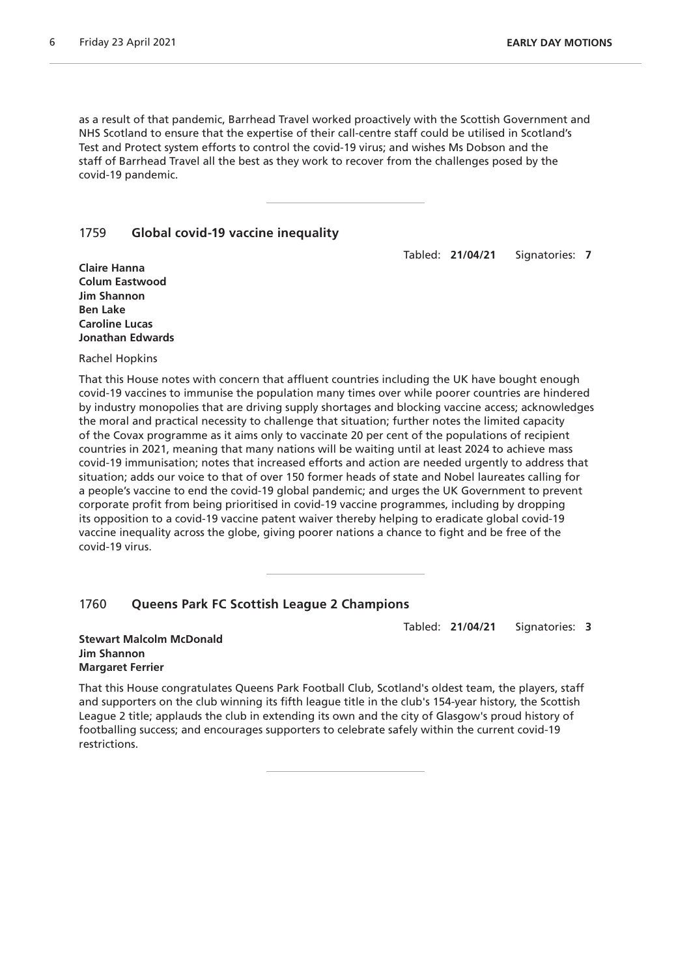as a result of that pandemic, Barrhead Travel worked proactively with the Scottish Government and NHS Scotland to ensure that the expertise of their call-centre staff could be utilised in Scotland's Test and Protect system efforts to control the covid-19 virus; and wishes Ms Dobson and the staff of Barrhead Travel all the best as they work to recover from the challenges posed by the covid-19 pandemic.

#### 1759 **Global covid-19 vaccine inequality**

Tabled: **21/04/21** Signatories: **7**

**Claire Hanna Colum Eastwood Jim Shannon Ben Lake Caroline Lucas Jonathan Edwards**

Rachel Hopkins

That this House notes with concern that affluent countries including the UK have bought enough covid-19 vaccines to immunise the population many times over while poorer countries are hindered by industry monopolies that are driving supply shortages and blocking vaccine access; acknowledges the moral and practical necessity to challenge that situation; further notes the limited capacity of the Covax programme as it aims only to vaccinate 20 per cent of the populations of recipient countries in 2021, meaning that many nations will be waiting until at least 2024 to achieve mass covid-19 immunisation; notes that increased efforts and action are needed urgently to address that situation; adds our voice to that of over 150 former heads of state and Nobel laureates calling for a people's vaccine to end the covid-19 global pandemic; and urges the UK Government to prevent corporate profit from being prioritised in covid-19 vaccine programmes, including by dropping its opposition to a covid-19 vaccine patent waiver thereby helping to eradicate global covid-19 vaccine inequality across the globe, giving poorer nations a chance to fight and be free of the covid-19 virus.

# 1760 **Queens Park FC Scottish League 2 Champions**

Tabled: **21/04/21** Signatories: **3**

#### **Stewart Malcolm McDonald Jim Shannon Margaret Ferrier**

That this House congratulates Queens Park Football Club, Scotland's oldest team, the players, staff and supporters on the club winning its fifth league title in the club's 154-year history, the Scottish League 2 title; applauds the club in extending its own and the city of Glasgow's proud history of footballing success; and encourages supporters to celebrate safely within the current covid-19 restrictions.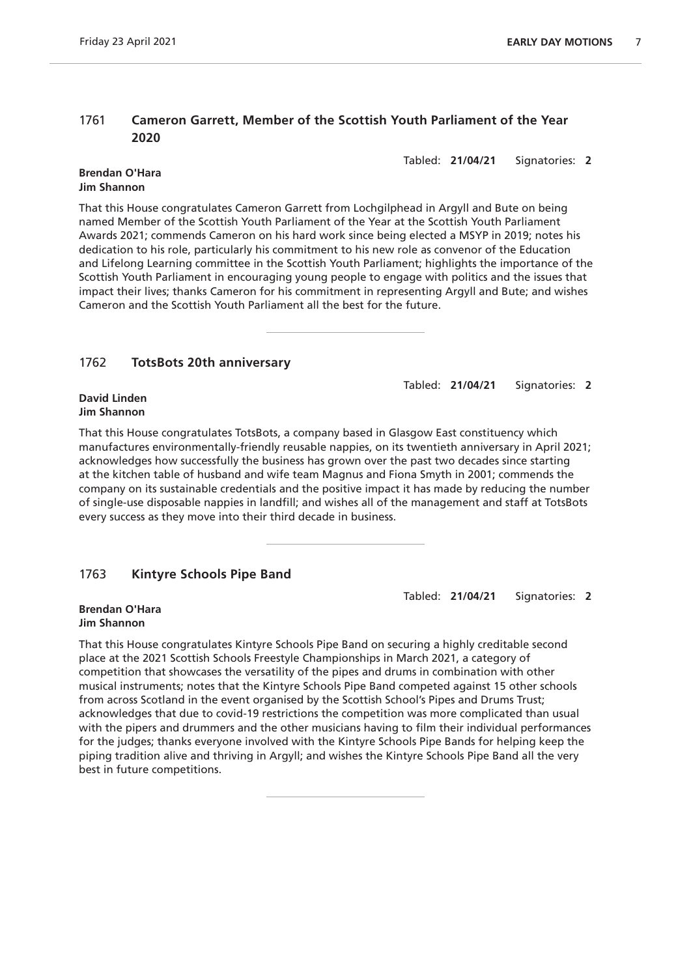# 1761 **Cameron Garrett, Member of the Scottish Youth Parliament of the Year 2020**

Tabled: **21/04/21** Signatories: **2**

#### **Brendan O'Hara Jim Shannon**

That this House congratulates Cameron Garrett from Lochgilphead in Argyll and Bute on being named Member of the Scottish Youth Parliament of the Year at the Scottish Youth Parliament Awards 2021; commends Cameron on his hard work since being elected a MSYP in 2019; notes his dedication to his role, particularly his commitment to his new role as convenor of the Education and Lifelong Learning committee in the Scottish Youth Parliament; highlights the importance of the Scottish Youth Parliament in encouraging young people to engage with politics and the issues that impact their lives; thanks Cameron for his commitment in representing Argyll and Bute; and wishes Cameron and the Scottish Youth Parliament all the best for the future.

# 1762 **TotsBots 20th anniversary**

Tabled: **21/04/21** Signatories: **2**

#### **David Linden Jim Shannon**

That this House congratulates TotsBots, a company based in Glasgow East constituency which manufactures environmentally-friendly reusable nappies, on its twentieth anniversary in April 2021; acknowledges how successfully the business has grown over the past two decades since starting at the kitchen table of husband and wife team Magnus and Fiona Smyth in 2001; commends the company on its sustainable credentials and the positive impact it has made by reducing the number of single-use disposable nappies in landfill; and wishes all of the management and staff at TotsBots every success as they move into their third decade in business.

# 1763 **Kintyre Schools Pipe Band**

Tabled: **21/04/21** Signatories: **2**

#### **Brendan O'Hara Jim Shannon**

That this House congratulates Kintyre Schools Pipe Band on securing a highly creditable second place at the 2021 Scottish Schools Freestyle Championships in March 2021, a category of competition that showcases the versatility of the pipes and drums in combination with other musical instruments; notes that the Kintyre Schools Pipe Band competed against 15 other schools from across Scotland in the event organised by the Scottish School's Pipes and Drums Trust; acknowledges that due to covid-19 restrictions the competition was more complicated than usual with the pipers and drummers and the other musicians having to film their individual performances for the judges; thanks everyone involved with the Kintyre Schools Pipe Bands for helping keep the piping tradition alive and thriving in Argyll; and wishes the Kintyre Schools Pipe Band all the very best in future competitions.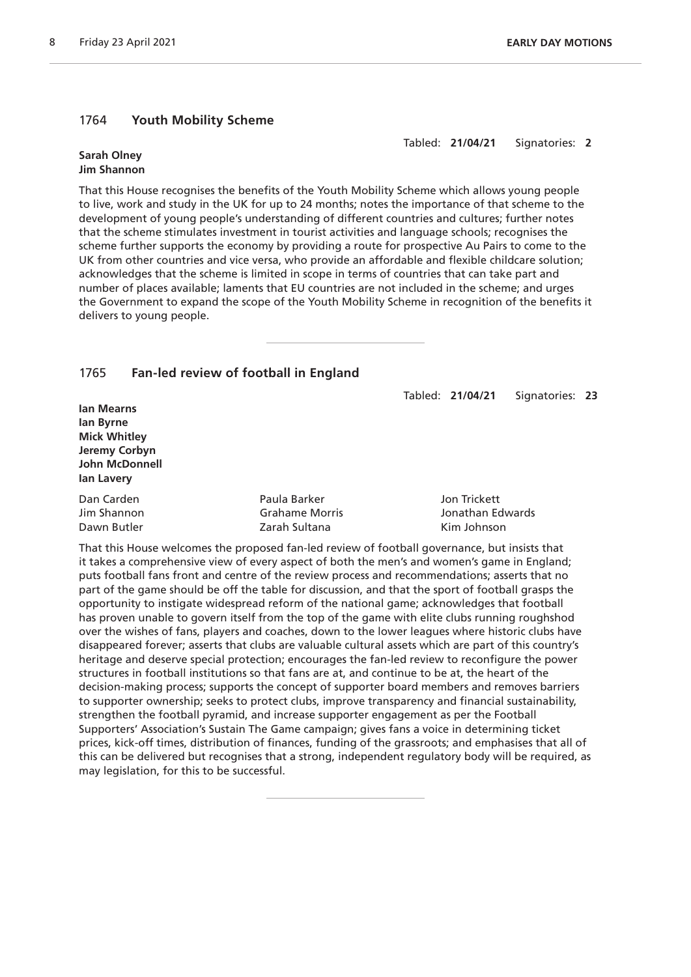# 1764 **Youth Mobility Scheme**

Tabled: **21/04/21** Signatories: **2**

#### **Sarah Olney Jim Shannon**

That this House recognises the benefits of the Youth Mobility Scheme which allows young people to live, work and study in the UK for up to 24 months; notes the importance of that scheme to the development of young people's understanding of different countries and cultures; further notes that the scheme stimulates investment in tourist activities and language schools; recognises the scheme further supports the economy by providing a route for prospective Au Pairs to come to the UK from other countries and vice versa, who provide an affordable and flexible childcare solution; acknowledges that the scheme is limited in scope in terms of countries that can take part and number of places available; laments that EU countries are not included in the scheme; and urges the Government to expand the scope of the Youth Mobility Scheme in recognition of the benefits it delivers to young people.

# 1765 **Fan-led review of football in England**

Tabled: **21/04/21** Signatories: **23**

**Ian Mearns Ian Byrne Mick Whitley Jeremy Corbyn John McDonnell Ian Lavery**

| Dan Carden  | Paula Barker   | Jon Trickett     |
|-------------|----------------|------------------|
| Jim Shannon | Grahame Morris | Jonathan Edwards |
| Dawn Butler | Zarah Sultana  | Kim Johnson      |

That this House welcomes the proposed fan-led review of football governance, but insists that it takes a comprehensive view of every aspect of both the men's and women's game in England; puts football fans front and centre of the review process and recommendations; asserts that no part of the game should be off the table for discussion, and that the sport of football grasps the opportunity to instigate widespread reform of the national game; acknowledges that football has proven unable to govern itself from the top of the game with elite clubs running roughshod over the wishes of fans, players and coaches, down to the lower leagues where historic clubs have disappeared forever; asserts that clubs are valuable cultural assets which are part of this country's heritage and deserve special protection; encourages the fan-led review to reconfigure the power structures in football institutions so that fans are at, and continue to be at, the heart of the decision-making process; supports the concept of supporter board members and removes barriers to supporter ownership; seeks to protect clubs, improve transparency and financial sustainability, strengthen the football pyramid, and increase supporter engagement as per the Football Supporters' Association's Sustain The Game campaign; gives fans a voice in determining ticket prices, kick-off times, distribution of finances, funding of the grassroots; and emphasises that all of this can be delivered but recognises that a strong, independent regulatory body will be required, as may legislation, for this to be successful.